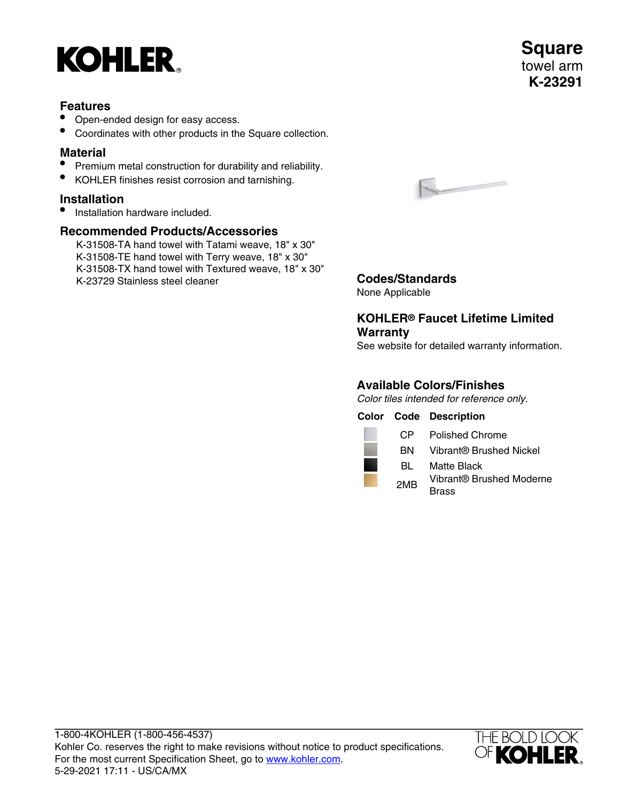

### **Features**

- Open-ended design for easy access.
- Coordinates with other products in the Square collection.

## **Material**

- Premium metal construction for durability and reliability.
- KOHLER finishes resist corrosion and tarnishing.

# **Installation**

• Installation hardware included.

# **Recommended Products/Accessories**

K-31508-TA hand towel with Tatami weave, 18" x 30" K-31508-TE hand towel with Terry weave, 18" x 30" K-31508-TX hand towel with Textured weave, 18" x 30" K-23729 Stainless steel cleaner **Codes/Standards**



None Applicable

# **KOHLER® Faucet Lifetime Limited Warranty**

See website for detailed warranty information.

# **Available Colors/Finishes**

Color tiles intended for reference only.

|  |                 | <b>Color Code Description</b> |
|--|-----------------|-------------------------------|
|  | CP.             | <b>Polished Chrome</b>        |
|  | BN              | Vibrant® Brushed Nickel       |
|  | BL              | Matte Black                   |
|  | 2M <sub>R</sub> | Vibrant® Brushed Moderne      |
|  |                 | Brass                         |